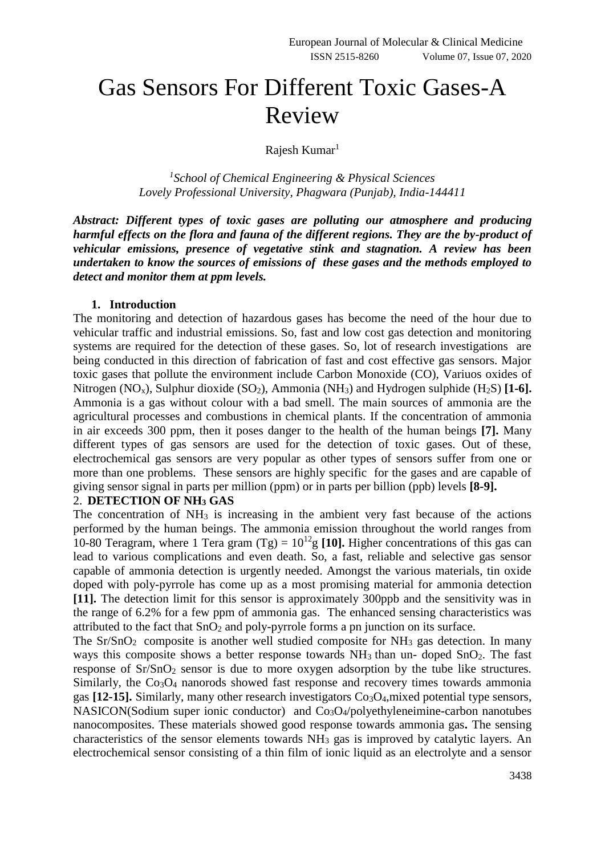# Gas Sensors For Different Toxic Gases-A Review

Rajesh Kumar<sup>1</sup>

*1 School of Chemical Engineering & Physical Sciences Lovely Professional University, Phagwara (Punjab), India-144411*

*Abstract: Different types of toxic gases are polluting our atmosphere and producing harmful effects on the flora and fauna of the different regions. They are the by-product of vehicular emissions, presence of vegetative stink and stagnation. A review has been undertaken to know the sources of emissions of these gases and the methods employed to detect and monitor them at ppm levels.* 

#### **1. Introduction**

The monitoring and detection of hazardous gases has become the need of the hour due to vehicular traffic and industrial emissions. So, fast and low cost gas detection and monitoring systems are required for the detection of these gases. So, lot of research investigations are being conducted in this direction of fabrication of fast and cost effective gas sensors. Major toxic gases that pollute the environment include Carbon Monoxide (CO), Variuos oxides of Nitrogen (NO<sub>x</sub>), Sulphur dioxide (SO<sub>2</sub>), Ammonia (NH<sub>3</sub>) and Hydrogen sulphide (H<sub>2</sub>S) [**1-6**]. Ammonia is a gas without colour with a bad smell. The main sources of ammonia are the agricultural processes and combustions in chemical plants. If the concentration of ammonia in air exceeds 300 ppm, then it poses danger to the health of the human beings **[7].** Many different types of gas sensors are used for the detection of toxic gases. Out of these, electrochemical gas sensors are very popular as other types of sensors suffer from one or more than one problems. These sensors are highly specific for the gases and are capable of giving sensor signal in parts per million (ppm) or in parts per billion (ppb) levels **[8-9].**

#### 2. **DETECTION OF NH<sup>3</sup> GAS**

The concentration of  $NH_3$  is increasing in the ambient very fast because of the actions performed by the human beings. The ammonia emission throughout the world ranges from 10-80 Teragram, where 1 Tera gram  $(Tg) = 10^{12}g$  [10]. Higher concentrations of this gas can lead to various complications and even death. So, a fast, reliable and selective gas sensor capable of ammonia detection is urgently needed. Amongst the various materials, tin oxide doped with poly-pyrrole has come up as a most promising material for ammonia detection **[11].** The detection limit for this sensor is approximately 300ppb and the sensitivity was in the range of 6.2% for a few ppm of ammonia gas. The enhanced sensing characteristics was attributed to the fact that  $SnO<sub>2</sub>$  and poly-pyrrole forms a pn junction on its surface.

The  $Sr/SnO<sub>2</sub>$  composite is another well studied composite for  $NH<sub>3</sub>$  gas detection. In many ways this composite shows a better response towards  $NH<sub>3</sub>$  than un-doped  $SnO<sub>2</sub>$ . The fast response of Sr/SnO<sub>2</sub> sensor is due to more oxygen adsorption by the tube like structures. Similarly, the  $Co<sub>3</sub>O<sub>4</sub>$  nanorods showed fast response and recovery times towards ammonia gas **[12-15].** Similarly, many other research investigators  $Co<sub>3</sub>O<sub>4</sub>$ , mixed potential type sensors, NASICON(Sodium super ionic conductor) and Co<sub>3</sub>O<sub>4</sub>/polyethyleneimine-carbon nanotubes nanocomposites. These materials showed good response towards ammonia gas**.** The sensing characteristics of the sensor elements towards NH<sup>3</sup> gas is improved by catalytic layers. An electrochemical sensor consisting of a thin film of ionic liquid as an electrolyte and a sensor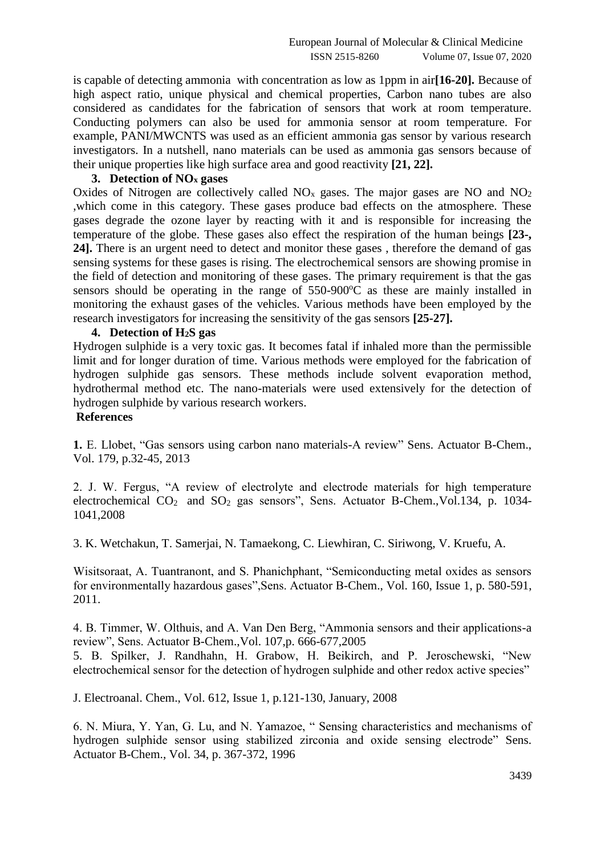is capable of detecting ammonia with concentration as low as 1ppm in air**[16-20].** Because of high aspect ratio, unique physical and chemical properties, Carbon nano tubes are also considered as candidates for the fabrication of sensors that work at room temperature. Conducting polymers can also be used for ammonia sensor at room temperature. For example, PANI/MWCNTS was used as an efficient ammonia gas sensor by various research investigators. In a nutshell, nano materials can be used as ammonia gas sensors because of their unique properties like high surface area and good reactivity **[21, 22].**

#### **3. Detection of NO<sup>x</sup> gases**

Oxides of Nitrogen are collectively called  $NO<sub>x</sub>$  gases. The major gases are NO and  $NO<sub>2</sub>$ ,which come in this category. These gases produce bad effects on the atmosphere. These gases degrade the ozone layer by reacting with it and is responsible for increasing the temperature of the globe. These gases also effect the respiration of the human beings **[23-, 24].** There is an urgent need to detect and monitor these gases , therefore the demand of gas sensing systems for these gases is rising. The electrochemical sensors are showing promise in the field of detection and monitoring of these gases. The primary requirement is that the gas sensors should be operating in the range of  $550-900^{\circ}$  cas these are mainly installed in monitoring the exhaust gases of the vehicles. Various methods have been employed by the research investigators for increasing the sensitivity of the gas sensors **[25-27].** 

### **4. Detection of H2S gas**

Hydrogen sulphide is a very toxic gas. It becomes fatal if inhaled more than the permissible limit and for longer duration of time. Various methods were employed for the fabrication of hydrogen sulphide gas sensors. These methods include solvent evaporation method, hydrothermal method etc. The nano-materials were used extensively for the detection of hydrogen sulphide by various research workers.

## **References**

**1.** E. Llobet, "Gas sensors using carbon nano materials-A review" Sens. Actuator B-Chem., Vol. 179, p.32-45, 2013

2. J. W. Fergus, "A review of electrolyte and electrode materials for high temperature electrochemical  $CO<sub>2</sub>$  and  $SO<sub>2</sub>$  gas sensors", Sens. Actuator B-Chem., Vol.134, p. 1034-1041,2008

3. K. Wetchakun, T. Samerjai, N. Tamaekong, C. Liewhiran, C. Siriwong, V. Kruefu, A.

Wisitsoraat, A. Tuantranont, and S. Phanichphant, "Semiconducting metal oxides as sensors for environmentally hazardous gases",Sens. Actuator B-Chem., Vol. 160, Issue 1, p. 580-591, 2011.

4. B. Timmer, W. Olthuis, and A. Van Den Berg, "Ammonia sensors and their applications-a review", Sens. Actuator B-Chem.,Vol. 107,p. 666-677,2005

5. B. Spilker, J. Randhahn, H. Grabow, H. Beikirch, and P. Jeroschewski, "New electrochemical sensor for the detection of hydrogen sulphide and other redox active species"

J. Electroanal. Chem., Vol. 612, Issue 1, p.121-130, January, 2008

6. N. Miura, Y. Yan, G. Lu, and N. Yamazoe, " Sensing characteristics and mechanisms of hydrogen sulphide sensor using stabilized zirconia and oxide sensing electrode" Sens. Actuator B-Chem., Vol. 34, p. 367-372, 1996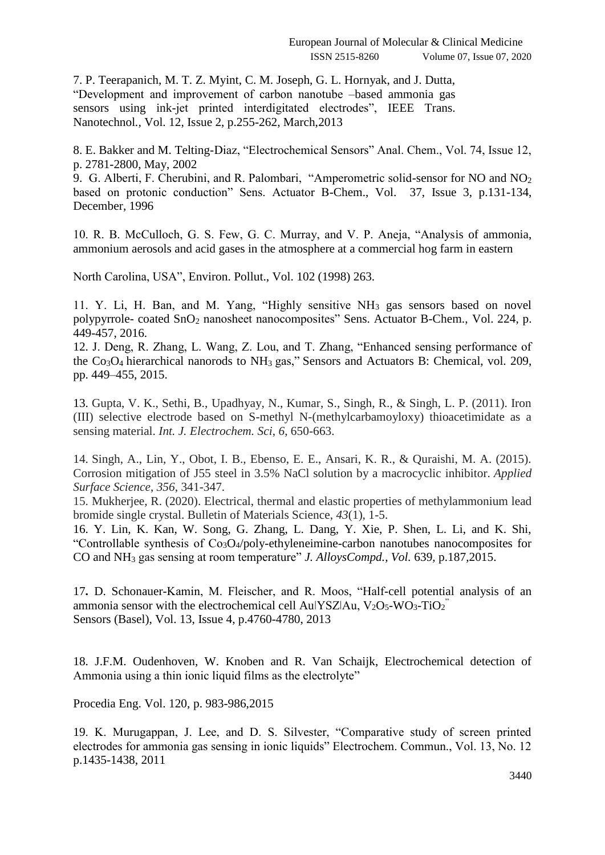7. P. Teerapanich, M. T. Z. Myint, C. M. Joseph, G. L. Hornyak, and J. Dutta, "Development and improvement of carbon nanotube –based ammonia gas sensors using ink-jet printed interdigitated electrodes". IEEE Trans. Nanotechnol*.,* Vol. 12, Issue 2, p.255-262, March,2013

8. E. Bakker and M. Telting-Diaz, "Electrochemical Sensors" Anal. Chem., Vol. 74, Issue 12, p. 2781-2800, May, 2002

9. G. Alberti, F. Cherubini, and R. Palombari, "Amperometric solid-sensor for NO and NO<sup>2</sup> based on protonic conduction" Sens. Actuator B-Chem., Vol. 37, Issue 3, p.131-134, December, 1996

10. R. B. McCulloch, G. S. Few, G. C. Murray, and V. P. Aneja, "Analysis of ammonia, ammonium aerosols and acid gases in the atmosphere at a commercial hog farm in eastern

North Carolina, USA", Environ. Pollut., Vol. 102 (1998) 263.

11. Y. Li, H. Ban, and M. Yang, "Highly sensitive NH<sup>3</sup> gas sensors based on novel polypyrrole- coated SnO<sup>2</sup> nanosheet nanocomposites" Sens. Actuator B-Chem., Vol. 224, p. 449-457, 2016.

12. J. Deng, R. Zhang, L. Wang, Z. Lou, and T. Zhang, "Enhanced sensing performance of the Co3O<sup>4</sup> hierarchical nanorods to NH<sup>3</sup> gas," Sensors and Actuators B: Chemical, vol. 209, pp. 449–455, 2015.

13. Gupta, V. K., Sethi, B., Upadhyay, N., Kumar, S., Singh, R., & Singh, L. P. (2011). Iron (III) selective electrode based on S-methyl N-(methylcarbamoyloxy) thioacetimidate as a sensing material. *Int. J. Electrochem. Sci*, *6*, 650-663.

14. Singh, A., Lin, Y., Obot, I. B., Ebenso, E. E., Ansari, K. R., & Quraishi, M. A. (2015). Corrosion mitigation of J55 steel in 3.5% NaCl solution by a macrocyclic inhibitor. *Applied Surface Science*, *356*, 341-347.

15. Mukherjee, R. (2020). Electrical, thermal and elastic properties of methylammonium lead bromide single crystal. Bulletin of Materials Science, *43*(1), 1-5.

16. Y. Lin, K. Kan, W. Song, G. Zhang, L. Dang, Y. Xie, P. Shen, L. Li, and K. Shi, "Controllable synthesis of Co3O4/poly-ethyleneimine-carbon nanotubes nanocomposites for CO and NH<sup>3</sup> gas sensing at room temperature" *J. AlloysCompd., Vol.* 639, p.187,2015.

17**.** D. Schonauer-Kamin, M. Fleischer, and R. Moos, "Half-cell potential analysis of an ammonia sensor with the electrochemical cell Au $|{\rm YSZ}|$ Au, V<sub>2</sub>O<sub>5</sub>-WO<sub>3</sub>-TiO<sub>2</sub><sup>"</sup> Sensors (Basel), Vol. 13, Issue 4, p.4760-4780, 2013

18. J.F.M. Oudenhoven, W. Knoben and R. Van Schaijk, Electrochemical detection of Ammonia using a thin ionic liquid films as the electrolyte"

Procedia Eng. Vol. 120, p. 983-986,2015

19. K. Murugappan, J. Lee, and D. S. Silvester, "Comparative study of screen printed electrodes for ammonia gas sensing in ionic liquids" Electrochem. Commun., Vol. 13, No. 12 p.1435-1438, 2011